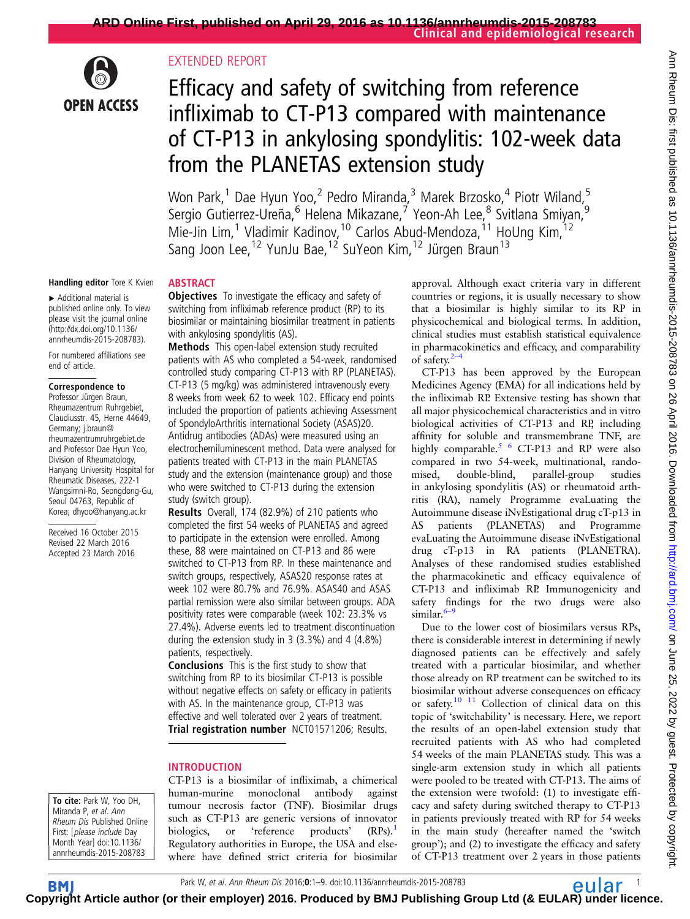

# EXTENDED REPORT

ABSTRACT

# Efficacy and safety of switching from reference infliximab to CT-P13 compared with maintenance of CT-P13 in ankylosing spondylitis: 102-week data from the PLANETAS extension study

Won Park,<sup>1</sup> Dae Hyun Yoo,<sup>2</sup> Pedro Miranda,<sup>3</sup> Marek Brzosko,<sup>4</sup> Piotr Wiland,<sup>5</sup> Sergio Gutierrez-Ureña,<sup>6</sup> Helena Mikazane,<sup>7</sup> Yeon-Ah Lee,<sup>8</sup> Svitlana Smiyan,<sup>9</sup> Mie-Jin Lim,<sup>1</sup> Vladimir Kadinov,<sup>10</sup> Carlos Abud-Mendoza,<sup>11</sup> HoUng Kim,<sup>12</sup> Sang Joon Lee,<sup>12</sup> YunJu Bae,<sup>12</sup> SuYeon Kim,<sup>12</sup> Jürgen Braun<sup>13</sup>

#### Handling editor Tore K Kvien

▸ Additional material is published online only. To view please visit the journal online [\(http://dx.doi.org/10.1136/](http://dx.doi.org/10.1136/annrheumdis-2015-208783) [annrheumdis-2015-208783\)](http://dx.doi.org/10.1136/annrheumdis-2015-208783).

For numbered affiliations see end of article.

#### Correspondence to

Professor Jürgen Braun, Rheumazentrum Ruhrgebiet, Claudiusstr. 45, Herne 44649, Germany; j.braun@ rheumazentrumruhrgebiet.de and Professor Dae Hyun Yoo, Division of Rheumatology, Hanyang University Hospital for Rheumatic Diseases, 222-1 Wangsimni-Ro, Seongdong-Gu, Seoul 04763, Republic of Korea; dhyoo@hanyang.ac.kr

Received 16 October 2015 Revised 22 March 2016 Accepted 23 March 2016

**Objectives** To investigate the efficacy and safety of switching from infliximab reference product (RP) to its biosimilar or maintaining biosimilar treatment in patients with ankylosing spondylitis (AS).

Methods This open-label extension study recruited patients with AS who completed a 54-week, randomised controlled study comparing CT-P13 with RP (PLANETAS). CT-P13 (5 mg/kg) was administered intravenously every 8 weeks from week 62 to week 102. Efficacy end points included the proportion of patients achieving Assessment of SpondyloArthritis international Society (ASAS)20. Antidrug antibodies (ADAs) were measured using an electrochemiluminescent method. Data were analysed for patients treated with CT-P13 in the main PLANETAS study and the extension (maintenance group) and those who were switched to CT-P13 during the extension study (switch group).

Results Overall, 174 (82.9%) of 210 patients who completed the first 54 weeks of PLANETAS and agreed to participate in the extension were enrolled. Among these, 88 were maintained on CT-P13 and 86 were switched to CT-P13 from RP. In these maintenance and switch groups, respectively, ASAS20 response rates at week 102 were 80.7% and 76.9%. ASAS40 and ASAS partial remission were also similar between groups. ADA positivity rates were comparable (week 102: 23.3% vs 27.4%). Adverse events led to treatment discontinuation during the extension study in 3 (3.3%) and 4 (4.8%) patients, respectively.

Conclusions This is the first study to show that switching from RP to its biosimilar CT-P13 is possible without negative effects on safety or efficacy in patients with AS. In the maintenance group, CT-P13 was effective and well tolerated over 2 years of treatment. Trial registration number NCT01571206; Results.

# INTRODUCTION

To cite: Park W, Yoo DH, Miranda P, et al. Ann Rheum Dis Published Online First: [please include Day Month Year] doi:10.1136/ annrheumdis-2015-208783

CT-P13 is a biosimilar of infliximab, a chimerical human-murine monoclonal antibody against tumour necrosis factor (TNF). Biosimilar drugs such as CT-P13 are generic versions of innovator biologics, or 'reference products' (RPs).<sup>[1](#page-8-0)</sup> Regulatory authorities in Europe, the USA and elsewhere have defined strict criteria for biosimilar

approval. Although exact criteria vary in different countries or regions, it is usually necessary to show that a biosimilar is highly similar to its RP in physicochemical and biological terms. In addition, clinical studies must establish statistical equivalence in pharmacokinetics and efficacy, and comparability of safety. $2$ –

CT-P13 has been approved by the European Medicines Agency (EMA) for all indications held by the infliximab RP. Extensive testing has shown that all major physicochemical characteristics and in vitro biological activities of CT-P13 and RP, including affinity for soluble and transmembrane TNF, are highly comparable.<sup>[5 6](#page-8-0)</sup> CT-P13 and RP were also compared in two 54-week, multinational, randomised, double-blind, parallel-group studies in ankylosing spondylitis (AS) or rheumatoid arthritis (RA), namely Programme evaLuating the Autoimmune disease iNvEstigational drug cT-p13 in AS patients (PLANETAS) and Programme evaLuating the Autoimmune disease iNvEstigational drug cT-p13 in RA patients (PLANETRA). Analyses of these randomised studies established the pharmacokinetic and efficacy equivalence of CT-P13 and infliximab RP. Immunogenicity and safety findings for the two drugs were also similar. $6-9$  $6-9$ 

Due to the lower cost of biosimilars versus RPs, there is considerable interest in determining if newly diagnosed patients can be effectively and safely treated with a particular biosimilar, and whether those already on RP treatment can be switched to its biosimilar without adverse consequences on efficacy or safety.<sup>10</sup> <sup>11</sup> Collection of clinical data on this topic of 'switchability' is necessary. Here, we report the results of an open-label extension study that recruited patients with AS who had completed 54 weeks of the main PLANETAS study. This was a single-arm extension study in which all patients were pooled to be treated with CT-P13. The aims of the extension were twofold: (1) to investigate efficacy and safety during switched therapy to CT-P13 in patients previously treated with RP for 54 weeks in the main study (hereafter named the 'switch group'); and (2) to investigate the efficacy and safety of CT-P13 treatment over 2 years in those patients

**BM Cop[yrigh](http://ard.bmj.com)t Article author (or their employer) 2016. Produced by BMJ Publishing Group Ltd (& EULAR) under licence.**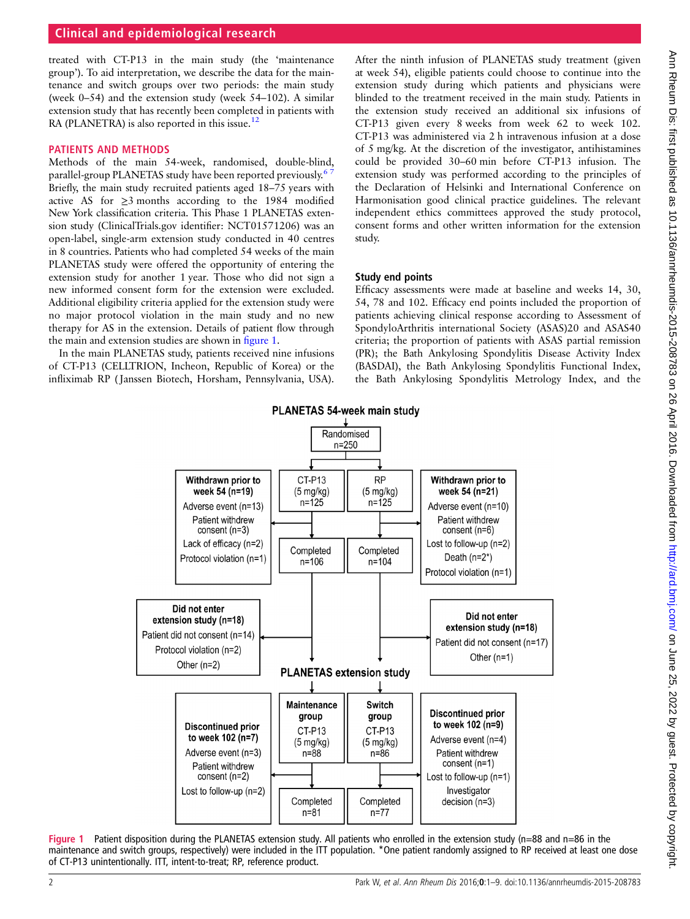<span id="page-1-0"></span>treated with CT-P13 in the main study (the 'maintenance group'). To aid interpretation, we describe the data for the maintenance and switch groups over two periods: the main study (week 0–54) and the extension study (week 54–102). A similar extension study that has recently been completed in patients with RA (PLANETRA) is also reported in this issue.<sup>[12](#page-8-0)</sup>

# PATIENTS AND METHODS

Methods of the main 54-week, randomised, double-blind, parallel-group PLANETAS study have been reported previously.<sup>6</sup> Briefly, the main study recruited patients aged 18–75 years with active AS for  $\geq$ 3 months according to the 1984 modified New York classification criteria. This Phase 1 PLANETAS extension study (ClinicalTrials.gov identifier: NCT01571206) was an open-label, single-arm extension study conducted in 40 centres in 8 countries. Patients who had completed 54 weeks of the main PLANETAS study were offered the opportunity of entering the extension study for another 1 year. Those who did not sign a new informed consent form for the extension were excluded. Additional eligibility criteria applied for the extension study were no major protocol violation in the main study and no new therapy for AS in the extension. Details of patient flow through the main and extension studies are shown in figure 1.

In the main PLANETAS study, patients received nine infusions of CT-P13 (CELLTRION, Incheon, Republic of Korea) or the infliximab RP ( Janssen Biotech, Horsham, Pennsylvania, USA). After the ninth infusion of PLANETAS study treatment (given at week 54), eligible patients could choose to continue into the extension study during which patients and physicians were blinded to the treatment received in the main study. Patients in the extension study received an additional six infusions of CT-P13 given every 8 weeks from week 62 to week 102. CT-P13 was administered via 2 h intravenous infusion at a dose of 5 mg/kg. At the discretion of the investigator, antihistamines could be provided 30–60 min before CT-P13 infusion. The extension study was performed according to the principles of the Declaration of Helsinki and International Conference on Harmonisation good clinical practice guidelines. The relevant independent ethics committees approved the study protocol, consent forms and other written information for the extension study.

# Study end points

Efficacy assessments were made at baseline and weeks 14, 30, 54, 78 and 102. Efficacy end points included the proportion of patients achieving clinical response according to Assessment of SpondyloArthritis international Society (ASAS)20 and ASAS40 criteria; the proportion of patients with ASAS partial remission (PR); the Bath Ankylosing Spondylitis Disease Activity Index (BASDAI), the Bath Ankylosing Spondylitis Functional Index, the Bath Ankylosing Spondylitis Metrology Index, and the



Figure 1 Patient disposition during the PLANETAS extension study. All patients who enrolled in the extension study (n=88 and n=86 in the maintenance and switch groups, respectively) were included in the ITT population. \*One patient randomly assigned to RP received at least one dose of CT-P13 unintentionally. ITT, intent-to-treat; RP, reference product.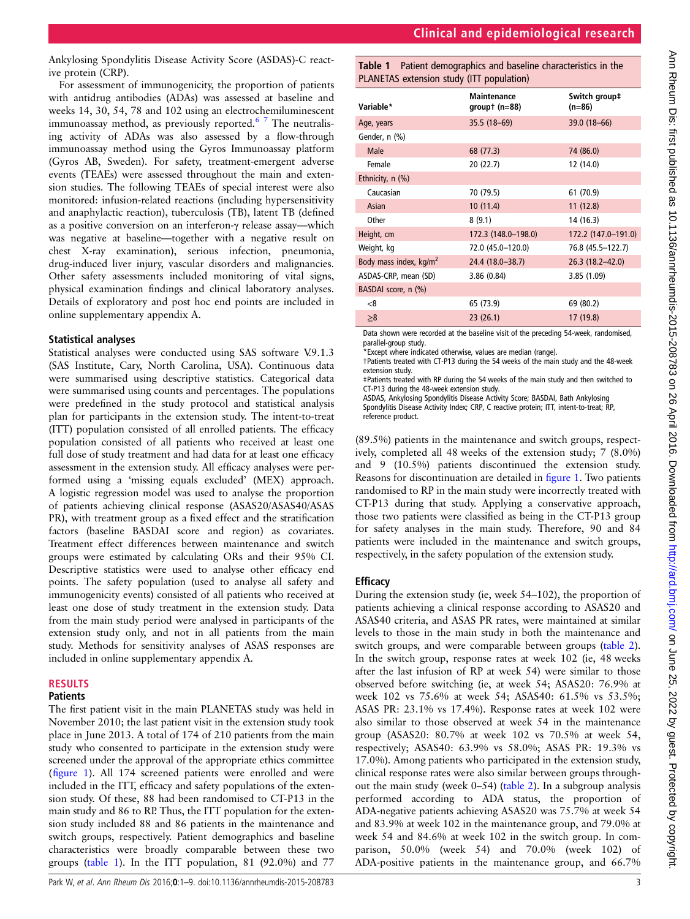Ankylosing Spondylitis Disease Activity Score (ASDAS)-C reactive protein (CRP).

For assessment of immunogenicity, the proportion of patients with antidrug antibodies (ADAs) was assessed at baseline and weeks 14, 30, 54, 78 and 102 using an electrochemiluminescent immunoassay method, as previously reported.<sup>[6 7](#page-8-0)</sup> The neutralising activity of ADAs was also assessed by a flow-through immunoassay method using the Gyros Immunoassay platform (Gyros AB, Sweden). For safety, treatment-emergent adverse events (TEAEs) were assessed throughout the main and extension studies. The following TEAEs of special interest were also monitored: infusion-related reactions (including hypersensitivity and anaphylactic reaction), tuberculosis (TB), latent TB (defined as a positive conversion on an interferon-γ release assay—which was negative at baseline—together with a negative result on chest X-ray examination), serious infection, pneumonia, drug-induced liver injury, vascular disorders and malignancies. Other safety assessments included monitoring of vital signs, physical examination findings and clinical laboratory analyses. Details of exploratory and post hoc end points are included in online [supplementary appendix](http://dx.doi.org/10.1136/annrheumdis-2015-208783) A.

### Statistical analyses

Statistical analyses were conducted using SAS software V.9.1.3 (SAS Institute, Cary, North Carolina, USA). Continuous data were summarised using descriptive statistics. Categorical data were summarised using counts and percentages. The populations were predefined in the study protocol and statistical analysis plan for participants in the extension study. The intent-to-treat (ITT) population consisted of all enrolled patients. The efficacy population consisted of all patients who received at least one full dose of study treatment and had data for at least one efficacy assessment in the extension study. All efficacy analyses were performed using a 'missing equals excluded' (MEX) approach. A logistic regression model was used to analyse the proportion of patients achieving clinical response (ASAS20/ASAS40/ASAS PR), with treatment group as a fixed effect and the stratification factors (baseline BASDAI score and region) as covariates. Treatment effect differences between maintenance and switch groups were estimated by calculating ORs and their 95% CI. Descriptive statistics were used to analyse other efficacy end points. The safety population (used to analyse all safety and immunogenicity events) consisted of all patients who received at least one dose of study treatment in the extension study. Data from the main study period were analysed in participants of the extension study only, and not in all patients from the main study. Methods for sensitivity analyses of ASAS responses are included in online [supplementary appendix](http://dx.doi.org/10.1136/annrheumdis-2015-208783) A.

### RESULTS

# **Patients**

The first patient visit in the main PLANETAS study was held in November 2010; the last patient visit in the extension study took place in June 2013. A total of 174 of 210 patients from the main study who consented to participate in the extension study were screened under the approval of the appropriate ethics committee (fi[gure 1\)](#page-1-0). All 174 screened patients were enrolled and were included in the ITT, efficacy and safety populations of the extension study. Of these, 88 had been randomised to CT-P13 in the main study and 86 to RP. Thus, the ITT population for the extension study included 88 and 86 patients in the maintenance and switch groups, respectively. Patient demographics and baseline characteristics were broadly comparable between these two groups (table 1). In the ITT population, 81 (92.0%) and 77

Table 1 Patient demographics and baseline characteristics in the PLANETAS extension study (ITT population)

| Variable*                          | <b>Maintenance</b><br>groupt $(n=88)$ | Switch group‡<br>(n=86) |
|------------------------------------|---------------------------------------|-------------------------|
| Age, years                         | $35.5(18-69)$                         | 39.0 (18-66)            |
| Gender, n (%)                      |                                       |                         |
| Male                               | 68 (77.3)                             | 74 (86.0)               |
| Female                             | 20 (22.7)                             | 12 (14.0)               |
| Ethnicity, $n$ $(\%)$              |                                       |                         |
| Caucasian                          | 70 (79.5)                             | 61 (70.9)               |
| Asian                              | 10(11.4)                              | 11(12.8)                |
| Other                              | 8(9.1)                                | 14 (16.3)               |
| Height, cm                         | 172.3 (148.0–198.0)                   | 172.2 (147.0-191.0)     |
| Weight, kg                         | 72.0 (45.0-120.0)                     | 76.8 (45.5-122.7)       |
| Body mass index, kg/m <sup>2</sup> | 24.4 (18.0-38.7)                      | $26.3(18.2 - 42.0)$     |
| ASDAS-CRP, mean (SD)               | 3.86(0.84)                            | 3.85(1.09)              |
| BASDAI score, n (%)                |                                       |                         |
| < 8                                | 65 (73.9)                             | 69 (80.2)               |
| $\geq 8$                           | 23(26.1)                              | 17 (19.8)               |

Data shown were recorded at the baseline visit of the preceding 54-week, randomised, parallel-group study.

\*Except where indicated otherwise, values are median (range).

†Patients treated with CT-P13 during the 54 weeks of the main study and the 48-week extension study.

‡Patients treated with RP during the 54 weeks of the main study and then switched to CT-P13 during the 48-week extension study.

ASDAS, Ankylosing Spondylitis Disease Activity Score; BASDAI, Bath Ankylosing Spondylitis Disease Activity Index; CRP, C reactive protein; ITT, intent-to-treat; RP,

reference product.

(89.5%) patients in the maintenance and switch groups, respectively, completed all 48 weeks of the extension study; 7 (8.0%) and 9 (10.5%) patients discontinued the extension study. Reasons for discontinuation are detailed in fi[gure 1](#page-1-0). Two patients randomised to RP in the main study were incorrectly treated with CT-P13 during that study. Applying a conservative approach, those two patients were classified as being in the CT-P13 group for safety analyses in the main study. Therefore, 90 and 84 patients were included in the maintenance and switch groups, respectively, in the safety population of the extension study.

# **Efficacy**

During the extension study (ie, week 54–102), the proportion of patients achieving a clinical response according to ASAS20 and ASAS40 criteria, and ASAS PR rates, were maintained at similar levels to those in the main study in both the maintenance and switch groups, and were comparable between groups [\(table 2\)](#page-3-0). In the switch group, response rates at week 102 (ie, 48 weeks after the last infusion of RP at week 54) were similar to those observed before switching (ie, at week 54; ASAS20: 76.9% at week 102 vs 75.6% at week 54; ASAS40: 61.5% vs 53.5%; ASAS PR: 23.1% vs 17.4%). Response rates at week 102 were also similar to those observed at week 54 in the maintenance group (ASAS20: 80.7% at week 102 vs 70.5% at week 54, respectively; ASAS40: 63.9% vs 58.0%; ASAS PR: 19.3% vs 17.0%). Among patients who participated in the extension study, clinical response rates were also similar between groups throughout the main study (week 0–54) ([table 2\)](#page-3-0). In a subgroup analysis performed according to ADA status, the proportion of ADA-negative patients achieving ASAS20 was 75.7% at week 54 and 83.9% at week 102 in the maintenance group, and 79.0% at week 54 and 84.6% at week 102 in the switch group. In comparison, 50.0% (week 54) and 70.0% (week 102) of ADA-positive patients in the maintenance group, and 66.7%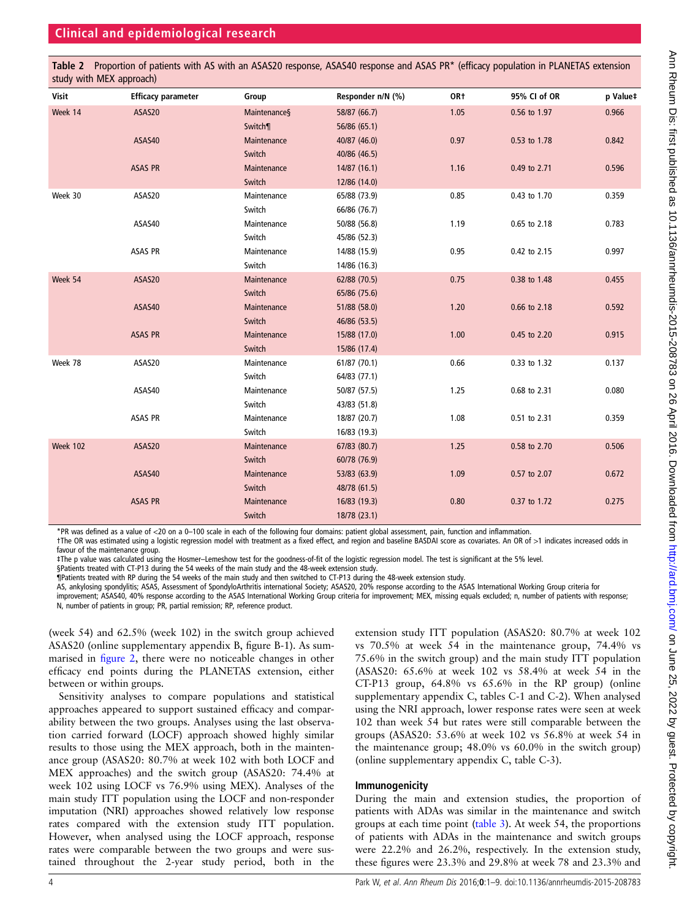<span id="page-3-0"></span>Table 2 Proportion of patients with AS with an ASAS20 response, ASAS40 response and ASAS PR\* (efficacy population in PLANETAS extension study with MEX approach)

| Visit           | <b>Efficacy parameter</b> | Group        | Responder n/N (%) | OR†  | 95% CI of OR | p Value‡ |
|-----------------|---------------------------|--------------|-------------------|------|--------------|----------|
| Week 14         | ASAS20                    | Maintenances | 58/87 (66.7)      | 1.05 | 0.56 to 1.97 | 0.966    |
|                 |                           | Switch¶      | 56/86 (65.1)      |      |              |          |
|                 | ASAS40                    | Maintenance  | 40/87 (46.0)      | 0.97 | 0.53 to 1.78 | 0.842    |
|                 |                           | Switch       | 40/86 (46.5)      |      |              |          |
|                 | ASAS PR                   | Maintenance  | 14/87 (16.1)      | 1.16 | 0.49 to 2.71 | 0.596    |
|                 |                           | Switch       | 12/86 (14.0)      |      |              |          |
| Week 30         | ASAS20                    | Maintenance  | 65/88 (73.9)      | 0.85 | 0.43 to 1.70 | 0.359    |
|                 |                           | Switch       | 66/86 (76.7)      |      |              |          |
|                 | ASAS40                    | Maintenance  | 50/88 (56.8)      | 1.19 | 0.65 to 2.18 | 0.783    |
|                 |                           | Switch       | 45/86 (52.3)      |      |              |          |
|                 | ASAS PR                   | Maintenance  | 14/88 (15.9)      | 0.95 | 0.42 to 2.15 | 0.997    |
|                 |                           | Switch       | 14/86 (16.3)      |      |              |          |
| Week 54         | ASAS20                    | Maintenance  | 62/88 (70.5)      | 0.75 | 0.38 to 1.48 | 0.455    |
|                 |                           | Switch       | 65/86 (75.6)      |      |              |          |
|                 | ASAS40                    | Maintenance  | 51/88 (58.0)      | 1.20 | 0.66 to 2.18 | 0.592    |
|                 |                           | Switch       | 46/86 (53.5)      |      |              |          |
|                 | <b>ASAS PR</b>            | Maintenance  | 15/88 (17.0)      | 1.00 | 0.45 to 2.20 | 0.915    |
|                 |                           | Switch       | 15/86 (17.4)      |      |              |          |
| Week 78         | ASAS20                    | Maintenance  | 61/87 (70.1)      | 0.66 | 0.33 to 1.32 | 0.137    |
|                 |                           | Switch       | 64/83 (77.1)      |      |              |          |
|                 | ASAS40                    | Maintenance  | 50/87 (57.5)      | 1.25 | 0.68 to 2.31 | 0.080    |
|                 |                           | Switch       | 43/83 (51.8)      |      |              |          |
|                 | ASAS PR                   | Maintenance  | 18/87 (20.7)      | 1.08 | 0.51 to 2.31 | 0.359    |
|                 |                           | Switch       | 16/83 (19.3)      |      |              |          |
| <b>Week 102</b> | ASAS20                    | Maintenance  | 67/83 (80.7)      | 1.25 | 0.58 to 2.70 | 0.506    |
|                 |                           | Switch       | 60/78 (76.9)      |      |              |          |
|                 | ASAS40                    | Maintenance  | 53/83 (63.9)      | 1.09 | 0.57 to 2.07 | 0.672    |
|                 |                           | Switch       | 48/78 (61.5)      |      |              |          |
|                 | <b>ASAS PR</b>            | Maintenance  | 16/83 (19.3)      | 0.80 | 0.37 to 1.72 | 0.275    |
|                 |                           | Switch       | 18/78 (23.1)      |      |              |          |
|                 |                           |              |                   |      |              |          |

\*PR was defined as a value of <20 on a 0–100 scale in each of the following four domains: patient global assessment, pain, function and inflammation.

†The OR was estimated using a logistic regression model with treatment as a fixed effect, and region and baseline BASDAI score as covariates. An OR of >1 indicates increased odds in favour of the maintenance group.

‡The p value was calculated using the Hosmer–Lemeshow test for the goodness-of-fit of the logistic regression model. The test is significant at the 5% level.

§Patients treated with CT-P13 during the 54 weeks of the main study and the 48-week extension study.

¶Patients treated with RP during the 54 weeks of the main study and then switched to CT-P13 during the 48-week extension study.

AS, ankylosing spondylitis; ASAS, Assessment of SpondyloArthritis international Society; ASAS20, 20% response according to the ASAS International Working Group criteria for improvement; ASAS40, 40% response according to the ASAS International Working Group criteria for improvement; MEX, missing equals excluded; n, number of patients with response; N, number of patients in group; PR, partial remission; RP, reference product.

(week 54) and 62.5% (week 102) in the switch group achieved ASAS20 (online [supplementary appendix](http://dx.doi.org/10.1136/annrheumdis-2015-208783) B, figure B-1). As summarised in fi[gure 2,](#page-4-0) there were no noticeable changes in other efficacy end points during the PLANETAS extension, either between or within groups.

Sensitivity analyses to compare populations and statistical approaches appeared to support sustained efficacy and comparability between the two groups. Analyses using the last observation carried forward (LOCF) approach showed highly similar results to those using the MEX approach, both in the maintenance group (ASAS20: 80.7% at week 102 with both LOCF and MEX approaches) and the switch group (ASAS20: 74.4% at week 102 using LOCF vs 76.9% using MEX). Analyses of the main study ITT population using the LOCF and non-responder imputation (NRI) approaches showed relatively low response rates compared with the extension study ITT population. However, when analysed using the LOCF approach, response rates were comparable between the two groups and were sustained throughout the 2-year study period, both in the

extension study ITT population (ASAS20: 80.7% at week 102 vs 70.5% at week 54 in the maintenance group, 74.4% vs 75.6% in the switch group) and the main study ITT population (ASAS20: 65.6% at week 102 vs 58.4% at week 54 in the CT-P13 group, 64.8% vs 65.6% in the RP group) (online [supplementary appendix](http://dx.doi.org/10.1136/annrheumdis-2015-208783) C, tables C-1 and C-2). When analysed using the NRI approach, lower response rates were seen at week 102 than week 54 but rates were still comparable between the groups (ASAS20: 53.6% at week 102 vs 56.8% at week 54 in the maintenance group; 48.0% vs 60.0% in the switch group) (online [supplementary appendix](http://dx.doi.org/10.1136/annrheumdis-2015-208783) C, table C-3).

### Immunogenicity

During the main and extension studies, the proportion of patients with ADAs was similar in the maintenance and switch groups at each time point [\(table 3](#page-6-0)). At week 54, the proportions of patients with ADAs in the maintenance and switch groups were 22.2% and 26.2%, respectively. In the extension study, these figures were 23.3% and 29.8% at week 78 and 23.3% and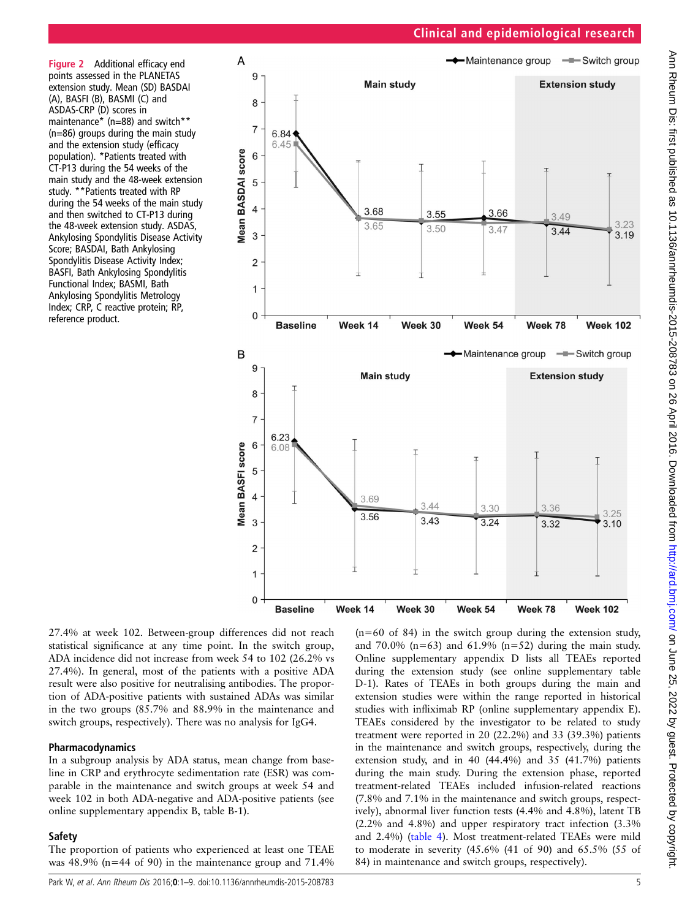<span id="page-4-0"></span>Figure 2 Additional efficacy end points assessed in the PLANETAS extension study. Mean (SD) BASDAI (A), BASFI (B), BASMI (C) and ASDAS-CRP (D) scores in maintenance\* (n=88) and switch\*\* (n=86) groups during the main study and the extension study (efficacy population). \*Patients treated with CT-P13 during the 54 weeks of the main study and the 48-week extension study. \*\* Patients treated with RP during the 54 weeks of the main study and then switched to CT-P13 during the 48-week extension study. ASDAS, Ankylosing Spondylitis Disease Activity Score; BASDAI, Bath Ankylosing Spondylitis Disease Activity Index; BASFI, Bath Ankylosing Spondylitis Functional Index; BASMI, Bath Ankylosing Spondylitis Metrology Index; CRP, C reactive protein; RP, reference product.



27.4% at week 102. Between-group differences did not reach statistical significance at any time point. In the switch group, ADA incidence did not increase from week 54 to 102 (26.2% vs 27.4%). In general, most of the patients with a positive ADA result were also positive for neutralising antibodies. The proportion of ADA-positive patients with sustained ADAs was similar in the two groups (85.7% and 88.9% in the maintenance and switch groups, respectively). There was no analysis for IgG4.

# Pharmacodynamics

In a subgroup analysis by ADA status, mean change from baseline in CRP and erythrocyte sedimentation rate (ESR) was comparable in the maintenance and switch groups at week 54 and week 102 in both ADA-negative and ADA-positive patients (see online [supplementary appendix](http://dx.doi.org/10.1136/annrheumdis-2015-208783) B, table B-1).

# **Safety**

The proportion of patients who experienced at least one TEAE was  $48.9\%$  (n=44 of 90) in the maintenance group and  $71.4\%$ 

(n=60 of 84) in the switch group during the extension study, and  $70.0\%$  (n=63) and  $61.9\%$  (n=52) during the main study. Online [supplementary appendix](http://dx.doi.org/10.1136/annrheumdis-2015-208783) D lists all TEAEs reported during the extension study (see online supplementary table D-1). Rates of TEAEs in both groups during the main and extension studies were within the range reported in historical studies with infliximab RP (online [supplementary appendix](http://dx.doi.org/10.1136/annrheumdis-2015-208783) E). TEAEs considered by the investigator to be related to study treatment were reported in 20 (22.2%) and 33 (39.3%) patients in the maintenance and switch groups, respectively, during the extension study, and in 40 (44.4%) and 35 (41.7%) patients during the main study. During the extension phase, reported treatment-related TEAEs included infusion-related reactions (7.8% and 7.1% in the maintenance and switch groups, respectively), abnormal liver function tests (4.4% and 4.8%), latent TB (2.2% and 4.8%) and upper respiratory tract infection (3.3% and 2.4%) ([table 4\)](#page-6-0). Most treatment-related TEAEs were mild to moderate in severity (45.6% (41 of 90) and 65.5% (55 of 84) in maintenance and switch groups, respectively).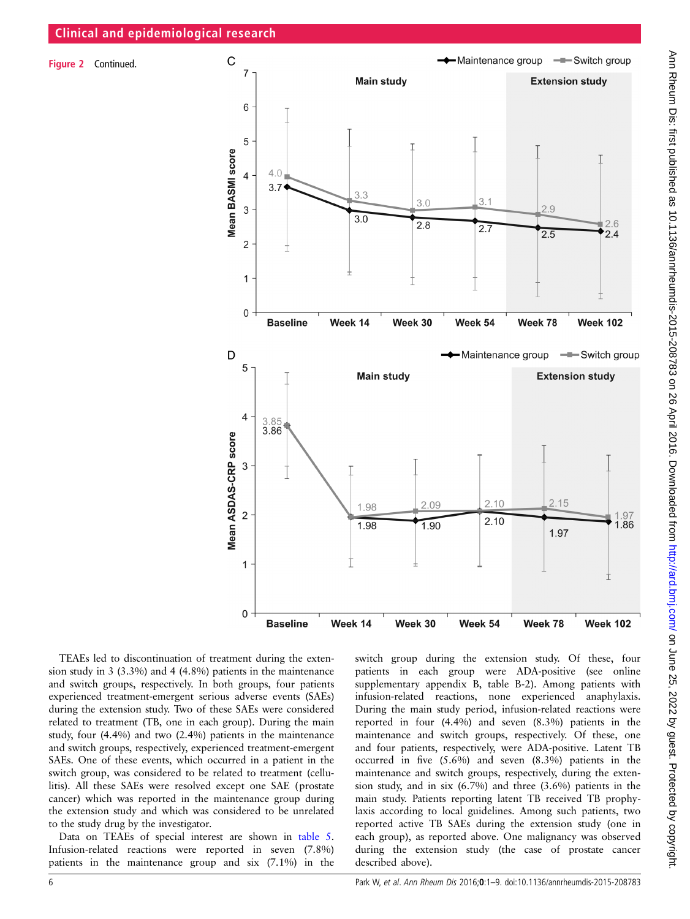Figure 2 Continued.



TEAEs led to discontinuation of treatment during the extension study in 3 (3.3%) and 4 (4.8%) patients in the maintenance and switch groups, respectively. In both groups, four patients experienced treatment-emergent serious adverse events (SAEs) during the extension study. Two of these SAEs were considered related to treatment (TB, one in each group). During the main study, four (4.4%) and two (2.4%) patients in the maintenance and switch groups, respectively, experienced treatment-emergent SAEs. One of these events, which occurred in a patient in the switch group, was considered to be related to treatment (cellulitis). All these SAEs were resolved except one SAE (prostate cancer) which was reported in the maintenance group during the extension study and which was considered to be unrelated to the study drug by the investigator.

Data on TEAEs of special interest are shown in [table 5](#page-7-0). Infusion-related reactions were reported in seven (7.8%) patients in the maintenance group and six (7.1%) in the switch group during the extension study. Of these, four patients in each group were ADA-positive (see online [supplementary appendix](http://dx.doi.org/10.1136/annrheumdis-2015-208783) B, table B-2). Among patients with infusion-related reactions, none experienced anaphylaxis. During the main study period, infusion-related reactions were reported in four (4.4%) and seven (8.3%) patients in the maintenance and switch groups, respectively. Of these, one and four patients, respectively, were ADA-positive. Latent TB occurred in five (5.6%) and seven (8.3%) patients in the maintenance and switch groups, respectively, during the extension study, and in six (6.7%) and three (3.6%) patients in the main study. Patients reporting latent TB received TB prophylaxis according to local guidelines. Among such patients, two reported active TB SAEs during the extension study (one in each group), as reported above. One malignancy was observed during the extension study (the case of prostate cancer described above).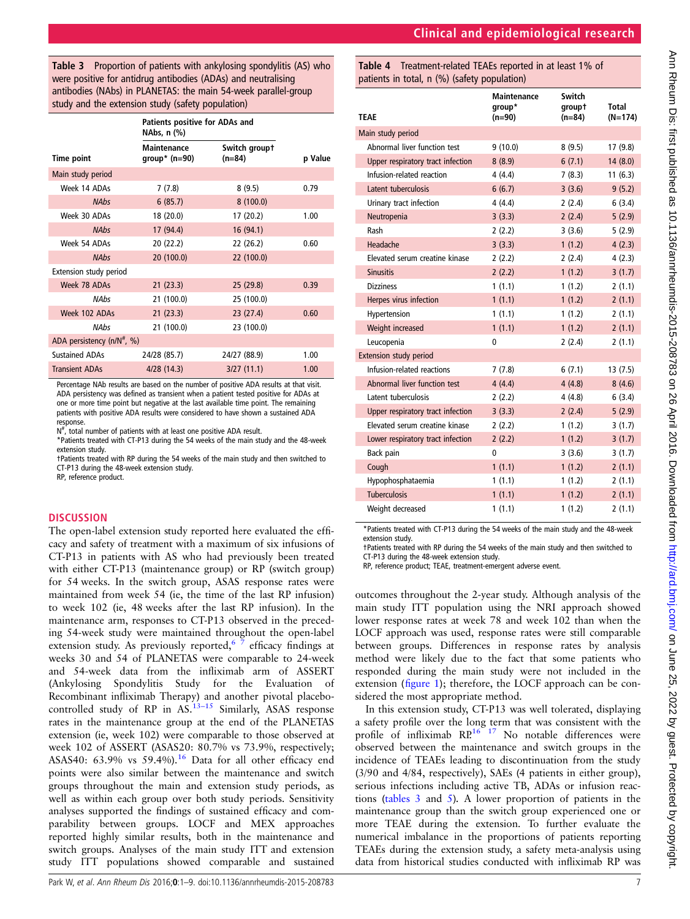<span id="page-6-0"></span>Table 3 Proportion of patients with ankylosing spondylitis (AS) who were positive for antidrug antibodies (ADAs) and neutralising antibodies (NAbs) in PLANETAS: the main 54-week parallel-group study and the extension study (safety population)

|                                        | Patients positive for ADAs and<br>NAbs, n (%) |                           |         |
|----------------------------------------|-----------------------------------------------|---------------------------|---------|
| Time point                             | Maintenance<br>group* $(n=90)$                | Switch groupt<br>$(n=84)$ | p Value |
| Main study period                      |                                               |                           |         |
| Week 14 ADAs                           | 7(7.8)                                        | 8(9.5)                    | 0.79    |
| <b>NAbs</b>                            | 6(85.7)                                       | 8(100.0)                  |         |
| Week 30 ADAs                           | 18 (20.0)                                     | 17 (20.2)                 | 1.00    |
| <b>NAbs</b>                            | 17 (94.4)                                     | 16(94.1)                  |         |
| Week 54 ADAs                           | 20 (22.2)                                     | 22 (26.2)                 | 0.60    |
| <b>NAbs</b>                            | 20(100.0)                                     | 22 (100.0)                |         |
| Extension study period                 |                                               |                           |         |
| Week 78 ADAs                           | 21(23.3)                                      | 25(29.8)                  | 0.39    |
| <b>NAbs</b>                            | 21 (100.0)                                    | 25 (100.0)                |         |
| Week 102 ADAs                          | 21(23.3)                                      | 23(27.4)                  | 0.60    |
| <b>NAbs</b>                            | 21 (100.0)                                    | 23 (100.0)                |         |
| ADA persistency (n/N <sup>#</sup> , %) |                                               |                           |         |
| <b>Sustained ADAs</b>                  | 24/28 (85.7)                                  | 24/27 (88.9)              | 1.00    |
| <b>Transient ADAs</b>                  | 4/28(14.3)                                    | 3/27(11.1)                | 1.00    |

Percentage NAb results are based on the number of positive ADA results at that visit. ADA persistency was defined as transient when a patient tested positive for ADAs at one or more time point but negative at the last available time point. The remaining patients with positive ADA results were considered to have shown a sustained ADA response.

 $N^{\#}$ , total number of patients with at least one positive ADA result.

\*Patients treated with CT-P13 during the 54 weeks of the main study and the 48-week extension study.

†Patients treated with RP during the 54 weeks of the main study and then switched to CT-P13 during the 48-week extension study. RP, reference product.

# **DISCUSSION**

The open-label extension study reported here evaluated the efficacy and safety of treatment with a maximum of six infusions of CT-P13 in patients with AS who had previously been treated with either CT-P13 (maintenance group) or RP (switch group) for 54 weeks. In the switch group, ASAS response rates were maintained from week 54 (ie, the time of the last RP infusion) to week 102 (ie, 48 weeks after the last RP infusion). In the maintenance arm, responses to CT-P13 observed in the preceding 54-week study were maintained throughout the open-label extension study. As previously reported,<sup>6  $\frac{3}{7}$ </sup> efficacy findings at weeks 30 and 54 of PLANETAS were comparable to 24-week and 54-week data from the infliximab arm of ASSERT (Ankylosing Spondylitis Study for the Evaluation of Recombinant infliximab Therapy) and another pivotal placebocontrolled study of RP in  $AS$ .<sup>[13](#page-8-0)–15</sup> Similarly, ASAS response rates in the maintenance group at the end of the PLANETAS extension (ie, week 102) were comparable to those observed at week 102 of ASSERT (ASAS20: 80.7% vs 73.9%, respectively; ASAS40: 63.9% vs 59.4%).<sup>[16](#page-8-0)</sup> Data for all other efficacy end points were also similar between the maintenance and switch groups throughout the main and extension study periods, as well as within each group over both study periods. Sensitivity analyses supported the findings of sustained efficacy and comparability between groups. LOCF and MEX approaches reported highly similar results, both in the maintenance and switch groups. Analyses of the main study ITT and extension study ITT populations showed comparable and sustained Table 4 Treatment-related TEAEs reported in at least 1% of patients in total, n (%) (safety population)

| TEAE                              | Maintenance<br>group*<br>$(n=90)$ | Switch<br>groupt<br>$(n=84)$ | <b>Total</b><br>$(N=174)$ |
|-----------------------------------|-----------------------------------|------------------------------|---------------------------|
| Main study period                 |                                   |                              |                           |
| Abnormal liver function test      | 9(10.0)                           | 8(9.5)                       | 17(9.8)                   |
| Upper respiratory tract infection | 8(8.9)                            | 6(7.1)                       | 14(8.0)                   |
| Infusion-related reaction         | 4(4.4)                            | 7(8.3)                       | 11(6.3)                   |
| Latent tuberculosis               | 6(6.7)                            | 3(3.6)                       | 9(5.2)                    |
| Urinary tract infection           | 4(4.4)                            | 2(2.4)                       | 6(3.4)                    |
| Neutropenia                       | 3(3.3)                            | 2(2.4)                       | 5(2.9)                    |
| Rash                              | 2(2.2)                            | 3(3.6)                       | 5(2.9)                    |
| Headache                          | 3(3.3)                            | 1(1.2)                       | 4(2.3)                    |
| Elevated serum creatine kinase    | 2(2.2)                            | 2(2.4)                       | 4(2.3)                    |
| <b>Sinusitis</b>                  | 2(2.2)                            | 1(1.2)                       | 3(1.7)                    |
| <b>Dizziness</b>                  | 1(1.1)                            | 1(1.2)                       | 2(1.1)                    |
| Herpes virus infection            | 1(1.1)                            | 1(1.2)                       | 2(1.1)                    |
| Hypertension                      | 1(1.1)                            | 1(1.2)                       | 2(1.1)                    |
| Weight increased                  | 1(1.1)                            | 1(1.2)                       | 2(1.1)                    |
| Leucopenia                        | 0                                 | 2(2.4)                       | 2(1.1)                    |
| <b>Extension study period</b>     |                                   |                              |                           |
| Infusion-related reactions        | 7(7.8)                            | 6(7.1)                       | 13(7.5)                   |
| Abnormal liver function test      | 4(4.4)                            | 4(4.8)                       | 8(4.6)                    |
| Latent tuberculosis               | 2(2.2)                            | 4(4.8)                       | 6(3.4)                    |
| Upper respiratory tract infection | 3(3.3)                            | 2(2.4)                       | 5(2.9)                    |
| Elevated serum creatine kinase    | 2(2.2)                            | 1(1.2)                       | 3(1.7)                    |
| Lower respiratory tract infection | 2(2.2)                            | 1(1.2)                       | 3(1.7)                    |
| Back pain                         | 0                                 | 3(3.6)                       | 3(1.7)                    |
| Cough                             | 1(1.1)                            | 1(1.2)                       | 2(1.1)                    |
| Hypophosphataemia                 | 1(1.1)                            | 1(1.2)                       | 2(1.1)                    |
| <b>Tuberculosis</b>               | 1(1.1)                            | 1(1.2)                       | 2(1.1)                    |
| Weight decreased                  | 1(1.1)                            | 1(1.2)                       | 2(1.1)                    |

\*Patients treated with CT-P13 during the 54 weeks of the main study and the 48-week extension study.

†Patients treated with RP during the 54 weeks of the main study and then switched to CT-P13 during the 48-week extension study.

RP, reference product; TEAE, treatment-emergent adverse event.

outcomes throughout the 2-year study. Although analysis of the main study ITT population using the NRI approach showed lower response rates at week 78 and week 102 than when the LOCF approach was used, response rates were still comparable between groups. Differences in response rates by analysis method were likely due to the fact that some patients who responded during the main study were not included in the extension (fi[gure 1\)](#page-1-0); therefore, the LOCF approach can be considered the most appropriate method.

In this extension study, CT-P13 was well tolerated, displaying a safety profile over the long term that was consistent with the profile of infliximab  $RP^{16}$  17 No notable differences were observed between the maintenance and switch groups in the incidence of TEAEs leading to discontinuation from the study (3/90 and 4/84, respectively), SAEs (4 patients in either group), serious infections including active TB, ADAs or infusion reactions (tables  $3$  and  $5$ ). A lower proportion of patients in the maintenance group than the switch group experienced one or more TEAE during the extension. To further evaluate the numerical imbalance in the proportions of patients reporting TEAEs during the extension study, a safety meta-analysis using data from historical studies conducted with infliximab RP was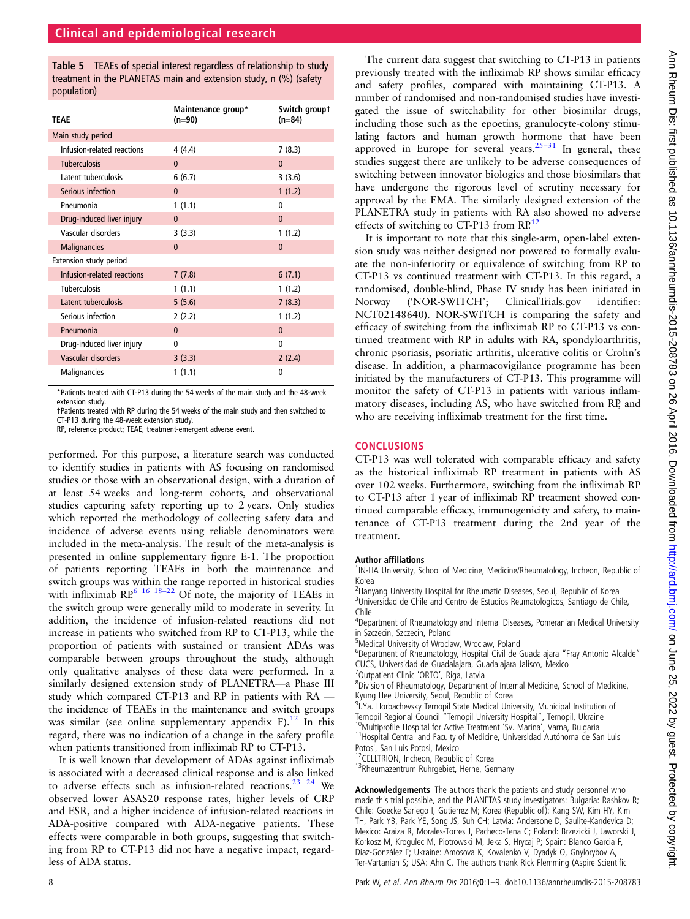<span id="page-7-0"></span>Table 5 TEAEs of special interest regardless of relationship to study treatment in the PLANETAS main and extension study, n (%) (safety population)

| <b>TEAE</b>                | Maintenance group*<br>$(n=90)$ | Switch groupt<br>$(n=84)$ |
|----------------------------|--------------------------------|---------------------------|
| Main study period          |                                |                           |
| Infusion-related reactions | 4(4.4)                         | 7(8.3)                    |
| <b>Tuberculosis</b>        | $\Omega$                       | $\mathbf{0}$              |
| Latent tuberculosis        | 6(6.7)                         | 3(3.6)                    |
| Serious infection          | $\mathbf{0}$                   | 1(1.2)                    |
| Pneumonia                  | 1(1.1)                         | 0                         |
| Drug-induced liver injury  | $\mathbf{0}$                   | $\mathbf{0}$              |
| Vascular disorders         | 3(3.3)                         | 1(1.2)                    |
| <b>Malignancies</b>        | $\Omega$                       | $\Omega$                  |
| Extension study period     |                                |                           |
| Infusion-related reactions | 7(7.8)                         | 6(7.1)                    |
| <b>Tuberculosis</b>        | 1(1.1)                         | 1(1.2)                    |
| Latent tuberculosis        | 5(5.6)                         | 7(8.3)                    |
| Serious infection          | 2(2.2)                         | 1(1.2)                    |
| Pneumonia                  | $\Omega$                       | $\mathbf{0}$              |
| Drug-induced liver injury  | 0                              | $\Omega$                  |
| Vascular disorders         | 3(3.3)                         | 2(2.4)                    |
| <b>Malignancies</b>        | 1(1.1)                         | $\mathbf{0}$              |

\*Patients treated with CT-P13 during the 54 weeks of the main study and the 48-week extension study.

†Patients treated with RP during the 54 weeks of the main study and then switched to CT-P13 during the 48-week extension study.

RP, reference product; TEAE, treatment-emergent adverse event.

performed. For this purpose, a literature search was conducted to identify studies in patients with AS focusing on randomised studies or those with an observational design, with a duration of at least 54 weeks and long-term cohorts, and observational studies capturing safety reporting up to 2 years. Only studies which reported the methodology of collecting safety data and incidence of adverse events using reliable denominators were included in the meta-analysis. The result of the meta-analysis is presented in online supplementary figure E-1. The proportion of patients reporting TEAEs in both the maintenance and switch groups was within the range reported in historical studies with infliximab  $\mathbb{RP}^6$  16 18–[22](#page-8-0) Of note, the majority of TEAEs in the switch group were generally mild to moderate in severity. In addition, the incidence of infusion-related reactions did not increase in patients who switched from RP to CT-P13, while the proportion of patients with sustained or transient ADAs was comparable between groups throughout the study, although only qualitative analyses of these data were performed. In a similarly designed extension study of PLANETRA—a Phase III study which compared CT-P13 and RP in patients with RA the incidence of TEAEs in the maintenance and switch groups was similar (see online [supplementary appendix](http://dx.doi.org/10.1136/annrheumdis-2015-208783) F).<sup>[12](#page-8-0)</sup> In this regard, there was no indication of a change in the safety profile when patients transitioned from infliximab RP to CT-P13.

It is well known that development of ADAs against infliximab is associated with a decreased clinical response and is also linked to adverse effects such as infusion-related reactions.<sup>23</sup> <sup>24</sup> We observed lower ASAS20 response rates, higher levels of CRP and ESR, and a higher incidence of infusion-related reactions in ADA-positive compared with ADA-negative patients. These effects were comparable in both groups, suggesting that switching from RP to CT-P13 did not have a negative impact, regardless of ADA status.

The current data suggest that switching to CT-P13 in patients previously treated with the infliximab RP shows similar efficacy and safety profiles, compared with maintaining CT-P13. A number of randomised and non-randomised studies have investigated the issue of switchability for other biosimilar drugs, including those such as the epoetins, granulocyte-colony stimulating factors and human growth hormone that have been approved in Europe for several years.<sup>[25](#page-8-0)–31</sup> In general, these studies suggest there are unlikely to be adverse consequences of switching between innovator biologics and those biosimilars that have undergone the rigorous level of scrutiny necessary for approval by the EMA. The similarly designed extension of the PLANETRA study in patients with RA also showed no adverse effects of switching to CT-P13 from RP.<sup>[12](#page-8-0)</sup>

It is important to note that this single-arm, open-label extension study was neither designed nor powered to formally evaluate the non-inferiority or equivalence of switching from RP to CT-P13 vs continued treatment with CT-P13. In this regard, a randomised, double-blind, Phase IV study has been initiated in Norway ('NOR-SWITCH'; ClinicalTrials.gov identifier: NCT02148640). NOR-SWITCH is comparing the safety and efficacy of switching from the infliximab RP to CT-P13 vs continued treatment with RP in adults with RA, spondyloarthritis, chronic psoriasis, psoriatic arthritis, ulcerative colitis or Crohn's disease. In addition, a pharmacovigilance programme has been initiated by the manufacturers of CT-P13. This programme will monitor the safety of CT-P13 in patients with various inflammatory diseases, including AS, who have switched from RP, and who are receiving infliximab treatment for the first time.

#### **CONCLUSIONS**

CT-P13 was well tolerated with comparable efficacy and safety as the historical infliximab RP treatment in patients with AS over 102 weeks. Furthermore, switching from the infliximab RP to CT-P13 after 1 year of infliximab RP treatment showed continued comparable efficacy, immunogenicity and safety, to maintenance of CT-P13 treatment during the 2nd year of the treatment.

#### Author affiliations <sup>1</sup>

<sup>1</sup>IN-HA University, School of Medicine, Medicine/Rheumatology, Incheon, Republic of Korea

<sup>2</sup>Hanyang University Hospital for Rheumatic Diseases, Seoul, Republic of Korea <sup>3</sup>Universidad de Chile and Centro de Estudios Reumatologicos, Santiago de Chile, Chile

<sup>4</sup>Department of Rheumatology and Internal Diseases, Pomeranian Medical University in Szczecin, Szczecin, Poland

5 Medical University of Wroclaw, Wroclaw, Poland

<sup>6</sup>Department of Rheumatology, Hospital Civil de Guadalajara "Fray Antonio Alcalde" CUCS, Universidad de Guadalajara, Guadalajara Jalisco, Mexico

<sup>7</sup> Outpatient Clinic 'ORTO', Riga, Latvia

<sup>8</sup>Division of Rheumatology, Department of Internal Medicine, School of Medicine, Kyung Hee University, Seoul, Republic of Korea

<sup>9</sup>I. Ya. Horbachevsky Ternopil State Medical University, Municipal Institution of Ternopil Regional Council "Ternopil University Hospital", Ternopil, Ukraine<br><sup>10</sup>Multiprofile Hospital for Active Treatment 'Sv. Marina', Varna, Bulgaria<br><sup>11</sup>Hospital Central and Faculty of Medicine, Universidad Autónoma de

Potosi, San Luis Potosi, Mexico<br><sup>12</sup>CELLTRION, Incheon, Republic of Korea

<sup>13</sup>Rheumazentrum Ruhrgebiet, Herne, Germany

Acknowledgements The authors thank the patients and study personnel who made this trial possible, and the PLANETAS study investigators: Bulgaria: Rashkov R; Chile: Goecke Sariego I, Gutierrez M; Korea (Republic of): Kang SW, Kim HY, Kim TH, Park YB, Park YE, Song JS, Suh CH; Latvia: Andersone D, Saulite-Kandevica D; Mexico: Araiza R, Morales-Torres J, Pacheco-Tena C; Poland: Brzezicki J, Jaworski J, Korkosz M, Krogulec M, Piotrowski M, Jeka S, Hrycaj P; Spain: Blanco Garcia F, Díaz-González F; Ukraine: Amosova K, Kovalenko V, Dyadyk O, Gnylorybov A, Ter-Vartanian S; USA: Ahn C. The authors thank Rick Flemming (Aspire Scientific